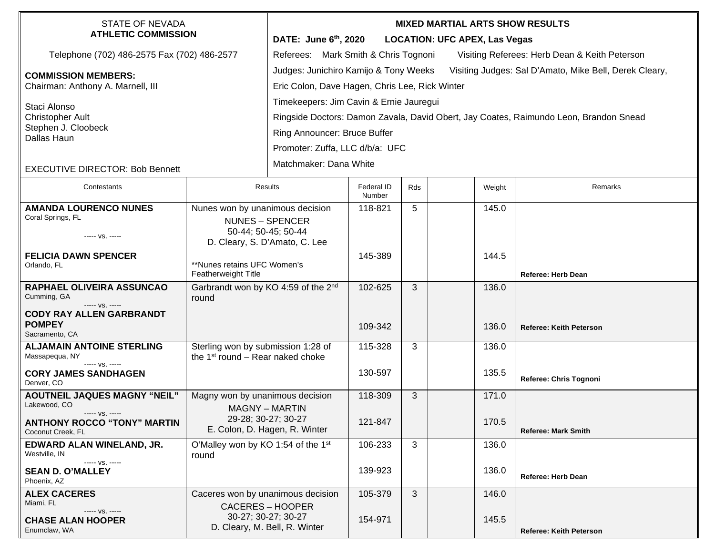| <b>STATE OF NEVADA</b><br><b>ATHLETIC COMMISSION</b>            |                                                                                    | <b>MIXED MARTIAL ARTS SHOW RESULTS</b>                                                          |                      |     |  |        |                                |  |  |
|-----------------------------------------------------------------|------------------------------------------------------------------------------------|-------------------------------------------------------------------------------------------------|----------------------|-----|--|--------|--------------------------------|--|--|
|                                                                 |                                                                                    | DATE: June 6th, 2020<br><b>LOCATION: UFC APEX, Las Vegas</b>                                    |                      |     |  |        |                                |  |  |
| Telephone (702) 486-2575 Fax (702) 486-2577                     |                                                                                    | Referees: Mark Smith & Chris Tognoni<br>Visiting Referees: Herb Dean & Keith Peterson           |                      |     |  |        |                                |  |  |
| <b>COMMISSION MEMBERS:</b><br>Chairman: Anthony A. Marnell, III |                                                                                    | Judges: Junichiro Kamijo & Tony Weeks<br>Visiting Judges: Sal D'Amato, Mike Bell, Derek Cleary, |                      |     |  |        |                                |  |  |
|                                                                 |                                                                                    | Eric Colon, Dave Hagen, Chris Lee, Rick Winter                                                  |                      |     |  |        |                                |  |  |
| Staci Alonso<br><b>Christopher Ault</b>                         |                                                                                    | Timekeepers: Jim Cavin & Ernie Jauregui                                                         |                      |     |  |        |                                |  |  |
|                                                                 |                                                                                    | Ringside Doctors: Damon Zavala, David Obert, Jay Coates, Raimundo Leon, Brandon Snead           |                      |     |  |        |                                |  |  |
| Stephen J. Cloobeck<br>Dallas Haun                              |                                                                                    | Ring Announcer: Bruce Buffer                                                                    |                      |     |  |        |                                |  |  |
|                                                                 |                                                                                    | Promoter: Zuffa, LLC d/b/a: UFC                                                                 |                      |     |  |        |                                |  |  |
| <b>EXECUTIVE DIRECTOR: Bob Bennett</b>                          |                                                                                    | Matchmaker: Dana White                                                                          |                      |     |  |        |                                |  |  |
|                                                                 |                                                                                    |                                                                                                 |                      |     |  |        |                                |  |  |
| Contestants                                                     |                                                                                    | Results                                                                                         | Federal ID<br>Number | Rds |  | Weight | Remarks                        |  |  |
| <b>AMANDA LOURENCO NUNES</b><br>Nunes won by unanimous decision |                                                                                    |                                                                                                 | 118-821              | 5   |  | 145.0  |                                |  |  |
| Coral Springs, FL                                               | <b>NUNES - SPENCER</b><br>50-44; 50-45; 50-44                                      |                                                                                                 |                      |     |  |        |                                |  |  |
| ----- VS. -----                                                 | D. Cleary, S. D'Amato, C. Lee                                                      |                                                                                                 |                      |     |  |        |                                |  |  |
| <b>FELICIA DAWN SPENCER</b>                                     |                                                                                    |                                                                                                 | 145-389              |     |  | 144.5  |                                |  |  |
| Orlando, FL                                                     | **Nunes retains UFC Women's<br>Featherweight Title                                 |                                                                                                 |                      |     |  |        | <b>Referee: Herb Dean</b>      |  |  |
| RAPHAEL OLIVEIRA ASSUNCAO<br>Cumming, GA                        | Garbrandt won by KO 4:59 of the 2 <sup>nd</sup><br>round                           |                                                                                                 | 102-625              | 3   |  | 136.0  |                                |  |  |
| ----- VS. -----<br><b>CODY RAY ALLEN GARBRANDT</b>              |                                                                                    |                                                                                                 |                      |     |  |        |                                |  |  |
| <b>POMPEY</b>                                                   |                                                                                    |                                                                                                 | 109-342              |     |  | 136.0  | <b>Referee: Keith Peterson</b> |  |  |
| Sacramento, CA                                                  |                                                                                    |                                                                                                 |                      |     |  |        |                                |  |  |
| <b>ALJAMAIN ANTOINE STERLING</b><br>Massapequa, NY              | Sterling won by submission 1:28 of<br>the 1 <sup>st</sup> round - Rear naked choke |                                                                                                 | 115-328              | 3   |  | 136.0  |                                |  |  |
| ----- VS. -----<br><b>CORY JAMES SANDHAGEN</b>                  |                                                                                    |                                                                                                 | 130-597              |     |  | 135.5  |                                |  |  |
| Denver, CO                                                      |                                                                                    |                                                                                                 |                      |     |  |        | Referee: Chris Tognoni         |  |  |
| <b>AOUTNEIL JAQUES MAGNY "NEIL"</b><br>Lakewood, CO             | Magny won by unanimous decision                                                    |                                                                                                 | 118-309              | 3   |  | 171.0  |                                |  |  |
| ----- VS. -----<br><b>ANTHONY ROCCO "TONY" MARTIN</b>           | <b>MAGNY - MARTIN</b><br>29-28; 30-27; 30-27                                       |                                                                                                 | 121-847              |     |  | 170.5  |                                |  |  |
| Coconut Creek, FL                                               |                                                                                    | E. Colon, D. Hagen, R. Winter                                                                   |                      |     |  |        | <b>Referee: Mark Smith</b>     |  |  |
| EDWARD ALAN WINELAND, JR.<br>Westville, IN                      | O'Malley won by KO 1:54 of the 1st<br>round                                        |                                                                                                 | 106-233              | 3   |  | 136.0  |                                |  |  |
| $--- VS. ---$<br><b>SEAN D. O'MALLEY</b><br>Phoenix, AZ         |                                                                                    |                                                                                                 | 139-923              |     |  | 136.0  | Referee: Herb Dean             |  |  |
| <b>ALEX CACERES</b>                                             | Caceres won by unanimous decision                                                  |                                                                                                 | 105-379              | 3   |  | 146.0  |                                |  |  |
| Miami, FL<br>----- VS. -----                                    | CACERES - HOOPER                                                                   |                                                                                                 |                      |     |  |        |                                |  |  |
| <b>CHASE ALAN HOOPER</b>                                        |                                                                                    | 30-27; 30-27; 30-27<br>D. Cleary, M. Bell, R. Winter                                            | 154-971              |     |  | 145.5  |                                |  |  |
| Enumclaw, WA                                                    |                                                                                    |                                                                                                 |                      |     |  |        | <b>Referee: Keith Peterson</b> |  |  |